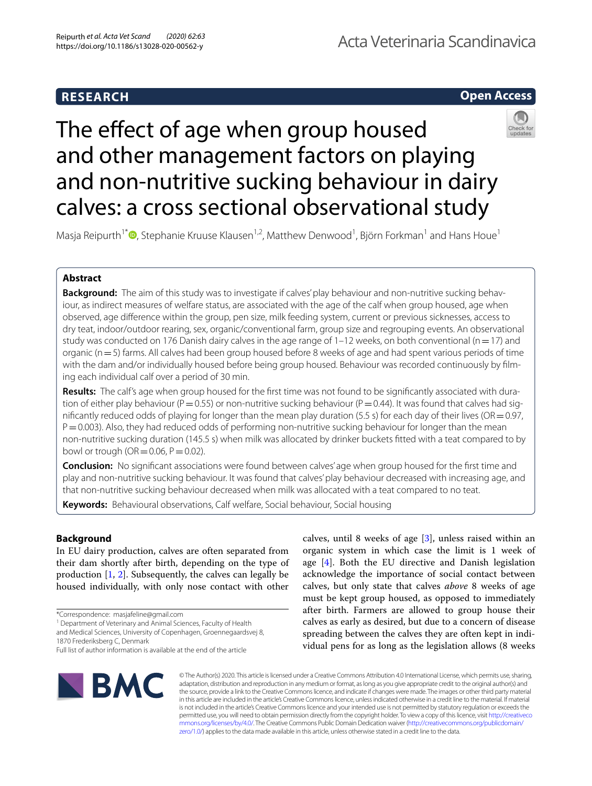# **RESEARCH**

# **Open Access**



# The effect of age when group housed and other management factors on playing and non-nutritive sucking behaviour in dairy calves: a cross sectional observational study

Masja Reipurth<sup>1\*</sup> <sup>D</sup>[,](http://orcid.org/0000-0001-7052-7148) Stephanie Kruuse Klausen<sup>1,2</sup>, Matthew Denwood<sup>1</sup>, Björn Forkman<sup>1</sup> and Hans Houe<sup>1</sup>

# **Abstract**

**Background:** The aim of this study was to investigate if calves' play behaviour and non-nutritive sucking behaviour, as indirect measures of welfare status, are associated with the age of the calf when group housed, age when observed, age diference within the group, pen size, milk feeding system, current or previous sicknesses, access to dry teat, indoor/outdoor rearing, sex, organic/conventional farm, group size and regrouping events. An observational study was conducted on 176 Danish dairy calves in the age range of  $1-12$  weeks, on both conventional ( $n=17$ ) and organic ( $n=5$ ) farms. All calves had been group housed before 8 weeks of age and had spent various periods of time with the dam and/or individually housed before being group housed. Behaviour was recorded continuously by flming each individual calf over a period of 30 min.

**Results:** The calf's age when group housed for the frst time was not found to be signifcantly associated with duration of either play behaviour (P=0.55) or non-nutritive sucking behaviour (P=0.44). It was found that calves had significantly reduced odds of playing for longer than the mean play duration (5.5 s) for each day of their lives (OR = 0.97,  $P=0.003$ ). Also, they had reduced odds of performing non-nutritive sucking behaviour for longer than the mean non-nutritive sucking duration (145.5 s) when milk was allocated by drinker buckets ftted with a teat compared to by bowl or trough ( $OR = 0.06$ ,  $P = 0.02$ ).

**Conclusion:** No signifcant associations were found between calves' age when group housed for the frst time and play and non-nutritive sucking behaviour. It was found that calves' play behaviour decreased with increasing age, and that non-nutritive sucking behaviour decreased when milk was allocated with a teat compared to no teat.

**Keywords:** Behavioural observations, Calf welfare, Social behaviour, Social housing

## **Background**

In EU dairy production, calves are often separated from their dam shortly after birth, depending on the type of production [[1,](#page-11-0) [2\]](#page-11-1). Subsequently, the calves can legally be housed individually, with only nose contact with other

\*Correspondence: masjafeline@gmail.com

<sup>1</sup> Department of Veterinary and Animal Sciences, Faculty of Health

and Medical Sciences, University of Copenhagen, Groennegaardsvej 8, 1870 Frederiksberg C, Denmark

calves, until 8 weeks of age [\[3](#page-11-2)], unless raised within an organic system in which case the limit is 1 week of age [\[4](#page-11-3)]. Both the EU directive and Danish legislation acknowledge the importance of social contact between calves, but only state that calves *above* 8 weeks of age must be kept group housed, as opposed to immediately after birth. Farmers are allowed to group house their calves as early as desired, but due to a concern of disease spreading between the calves they are often kept in individual pens for as long as the legislation allows (8 weeks



© The Author(s) 2020. This article is licensed under a Creative Commons Attribution 4.0 International License, which permits use, sharing, adaptation, distribution and reproduction in any medium or format, as long as you give appropriate credit to the original author(s) and the source, provide a link to the Creative Commons licence, and indicate if changes were made. The images or other third party material in this article are included in the article's Creative Commons licence, unless indicated otherwise in a credit line to the material. If material is not included in the article's Creative Commons licence and your intended use is not permitted by statutory regulation or exceeds the permitted use, you will need to obtain permission directly from the copyright holder. To view a copy of this licence, visit [http://creativeco](http://creativecommons.org/licenses/by/4.0/) [mmons.org/licenses/by/4.0/.](http://creativecommons.org/licenses/by/4.0/) The Creative Commons Public Domain Dedication waiver ([http://creativecommons.org/publicdomain/](http://creativecommons.org/publicdomain/zero/1.0/) [zero/1.0/\)](http://creativecommons.org/publicdomain/zero/1.0/) applies to the data made available in this article, unless otherwise stated in a credit line to the data.

Full list of author information is available at the end of the article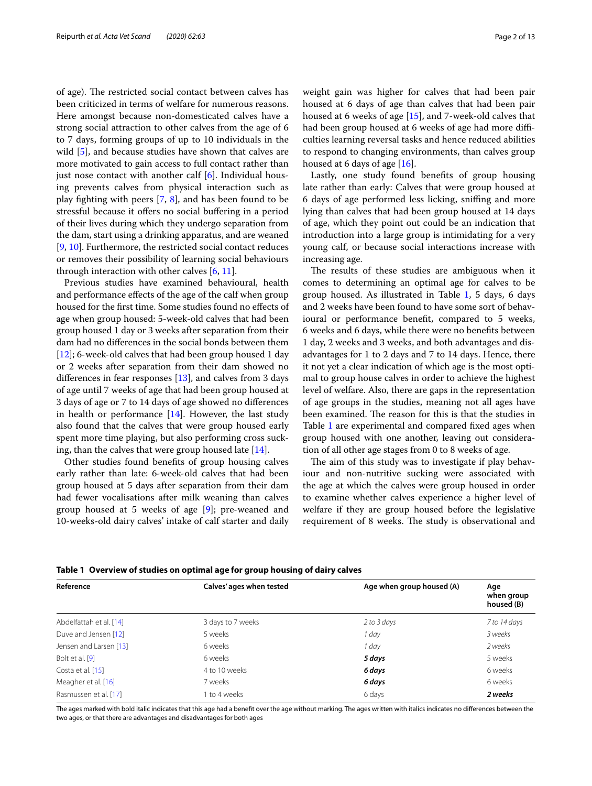of age). The restricted social contact between calves has been criticized in terms of welfare for numerous reasons. Here amongst because non-domesticated calves have a strong social attraction to other calves from the age of 6 to 7 days, forming groups of up to 10 individuals in the wild [\[5](#page-11-4)], and because studies have shown that calves are more motivated to gain access to full contact rather than just nose contact with another calf [[6](#page-11-5)]. Individual housing prevents calves from physical interaction such as play fghting with peers [[7,](#page-11-6) [8\]](#page-11-7), and has been found to be stressful because it offers no social buffering in a period of their lives during which they undergo separation from the dam, start using a drinking apparatus, and are weaned [[9,](#page-11-8) [10](#page-11-9)]. Furthermore, the restricted social contact reduces or removes their possibility of learning social behaviours through interaction with other calves [[6,](#page-11-5) [11](#page-11-10)].

Previous studies have examined behavioural, health and performance efects of the age of the calf when group housed for the frst time. Some studies found no efects of age when group housed: 5-week-old calves that had been group housed 1 day or 3 weeks after separation from their dam had no diferences in the social bonds between them [[12\]](#page-11-11); 6-week-old calves that had been group housed 1 day or 2 weeks after separation from their dam showed no diferences in fear responses [[13\]](#page-11-12), and calves from 3 days of age until 7 weeks of age that had been group housed at 3 days of age or 7 to 14 days of age showed no diferences in health or performance  $[14]$  $[14]$ . However, the last study also found that the calves that were group housed early spent more time playing, but also performing cross sucking, than the calves that were group housed late [\[14\]](#page-11-13).

Other studies found benefts of group housing calves early rather than late: 6-week-old calves that had been group housed at 5 days after separation from their dam had fewer vocalisations after milk weaning than calves group housed at 5 weeks of age [[9\]](#page-11-8); pre-weaned and 10-weeks-old dairy calves' intake of calf starter and daily weight gain was higher for calves that had been pair housed at 6 days of age than calves that had been pair housed at 6 weeks of age [[15\]](#page-11-14), and 7-week-old calves that had been group housed at 6 weeks of age had more difficulties learning reversal tasks and hence reduced abilities to respond to changing environments, than calves group housed at 6 days of age [[16](#page-11-15)].

Lastly, one study found benefts of group housing late rather than early: Calves that were group housed at 6 days of age performed less licking, snifng and more lying than calves that had been group housed at 14 days of age, which they point out could be an indication that introduction into a large group is intimidating for a very young calf, or because social interactions increase with increasing age.

The results of these studies are ambiguous when it comes to determining an optimal age for calves to be group housed. As illustrated in Table [1](#page-1-0), 5 days, 6 days and 2 weeks have been found to have some sort of behavioural or performance beneft, compared to 5 weeks, 6 weeks and 6 days, while there were no benefts between 1 day, 2 weeks and 3 weeks, and both advantages and disadvantages for 1 to 2 days and 7 to 14 days. Hence, there it not yet a clear indication of which age is the most optimal to group house calves in order to achieve the highest level of welfare. Also, there are gaps in the representation of age groups in the studies, meaning not all ages have been examined. The reason for this is that the studies in Table [1](#page-1-0) are experimental and compared fxed ages when group housed with one another, leaving out consideration of all other age stages from 0 to 8 weeks of age.

The aim of this study was to investigate if play behaviour and non-nutritive sucking were associated with the age at which the calves were group housed in order to examine whether calves experience a higher level of welfare if they are group housed before the legislative requirement of 8 weeks. The study is observational and

<span id="page-1-0"></span>

|  |  |  | Table 1 Overview of studies on optimal age for group housing of dairy calves |  |  |  |  |  |
|--|--|--|------------------------------------------------------------------------------|--|--|--|--|--|
|--|--|--|------------------------------------------------------------------------------|--|--|--|--|--|

| Reference               | Calves' ages when tested | Age when group housed (A) | Age<br>when group<br>housed (B) |  |
|-------------------------|--------------------------|---------------------------|---------------------------------|--|
| Abdelfattah et al. [14] | 3 days to 7 weeks        | 2 to 3 days               | 7 to 14 days                    |  |
| Duve and Jensen [12]    | 5 weeks                  | 1 day                     | 3 weeks                         |  |
| Jensen and Larsen [13]  | 6 weeks                  | 1 day                     | 2 weeks                         |  |
| Bolt et al. [9]         | 6 weeks                  | 5 days                    | 5 weeks                         |  |
| Costa et al. [15]       | 4 to 10 weeks            | 6 days                    | 6 weeks                         |  |
| Meagher et al. [16]     | 7 weeks                  | 6 days                    | 6 weeks                         |  |
| Rasmussen et al. [17]   | 1 to 4 weeks             | 6 days                    | 2 weeks                         |  |

The ages marked with bold italic indicates that this age had a beneft over the age without marking. The ages written with italics indicates no diferences between the two ages, or that there are advantages and disadvantages for both ages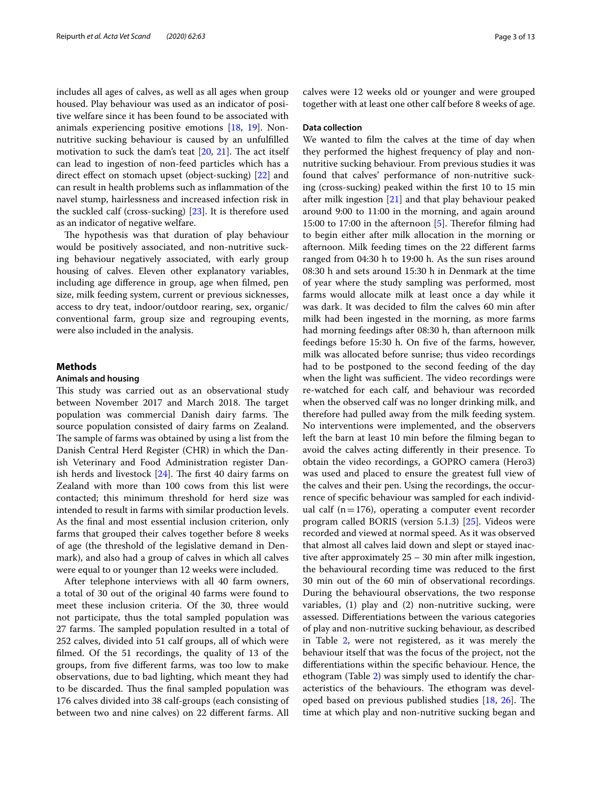includes all ages of calves, as well as all ages when group housed. Play behaviour was used as an indicator of positive welfare since it has been found to be associated with animals experiencing positive emotions [\[18](#page-11-17), [19\]](#page-11-18). Nonnutritive sucking behaviour is caused by an unfulflled motivation to suck the dam's teat  $[20, 21]$  $[20, 21]$  $[20, 21]$  $[20, 21]$ . The act itself can lead to ingestion of non-feed particles which has a direct efect on stomach upset (object-sucking) [\[22\]](#page-11-21) and can result in health problems such as infammation of the navel stump, hairlessness and increased infection risk in the suckled calf (cross-sucking) [\[23](#page-11-22)]. It is therefore used as an indicator of negative welfare.

The hypothesis was that duration of play behaviour would be positively associated, and non-nutritive sucking behaviour negatively associated, with early group housing of calves. Eleven other explanatory variables, including age diference in group, age when flmed, pen size, milk feeding system, current or previous sicknesses, access to dry teat, indoor/outdoor rearing, sex, organic/ conventional farm, group size and regrouping events, were also included in the analysis.

#### **Methods**

#### **Animals and housing**

This study was carried out as an observational study between November 2017 and March 2018. The target population was commercial Danish dairy farms. The source population consisted of dairy farms on Zealand. The sample of farms was obtained by using a list from the Danish Central Herd Register (CHR) in which the Danish Veterinary and Food Administration register Danish herds and livestock  $[24]$  $[24]$ . The first 40 dairy farms on Zealand with more than 100 cows from this list were contacted; this minimum threshold for herd size was intended to result in farms with similar production levels. As the fnal and most essential inclusion criterion, only farms that grouped their calves together before 8 weeks of age (the threshold of the legislative demand in Denmark), and also had a group of calves in which all calves were equal to or younger than 12 weeks were included.

After telephone interviews with all 40 farm owners, a total of 30 out of the original 40 farms were found to meet these inclusion criteria. Of the 30, three would not participate, thus the total sampled population was 27 farms. The sampled population resulted in a total of 252 calves, divided into 51 calf groups, all of which were flmed. Of the 51 recordings, the quality of 13 of the groups, from fve diferent farms, was too low to make observations, due to bad lighting, which meant they had to be discarded. Thus the final sampled population was 176 calves divided into 38 calf-groups (each consisting of between two and nine calves) on 22 diferent farms. All calves were 12 weeks old or younger and were grouped together with at least one other calf before 8 weeks of age.

#### **Data collection**

We wanted to flm the calves at the time of day when they performed the highest frequency of play and nonnutritive sucking behaviour. From previous studies it was found that calves' performance of non-nutritive sucking (cross-sucking) peaked within the frst 10 to 15 min after milk ingestion [\[21\]](#page-11-20) and that play behaviour peaked around 9:00 to 11:00 in the morning, and again around 15:00 to 17:00 in the afternoon  $[5]$  $[5]$ . Therefor filming had to begin either after milk allocation in the morning or afternoon. Milk feeding times on the 22 diferent farms ranged from 04:30 h to 19:00 h. As the sun rises around 08:30 h and sets around 15:30 h in Denmark at the time of year where the study sampling was performed, most farms would allocate milk at least once a day while it was dark. It was decided to flm the calves 60 min after milk had been ingested in the morning, as more farms had morning feedings after 08:30 h, than afternoon milk feedings before 15:30 h. On fve of the farms, however, milk was allocated before sunrise; thus video recordings had to be postponed to the second feeding of the day when the light was sufficient. The video recordings were re-watched for each calf, and behaviour was recorded when the observed calf was no longer drinking milk, and therefore had pulled away from the milk feeding system. No interventions were implemented, and the observers left the barn at least 10 min before the flming began to avoid the calves acting diferently in their presence. To obtain the video recordings, a GOPRO camera (Hero3) was used and placed to ensure the greatest full view of the calves and their pen. Using the recordings, the occurrence of specifc behaviour was sampled for each individual calf ( $n=176$ ), operating a computer event recorder program called BORIS (version 5.1.3) [[25\]](#page-11-24). Videos were recorded and viewed at normal speed. As it was observed that almost all calves laid down and slept or stayed inactive after approximately 25 – 30 min after milk ingestion, the behavioural recording time was reduced to the frst 30 min out of the 60 min of observational recordings. During the behavioural observations, the two response variables, (1) play and (2) non-nutritive sucking, were assessed. Diferentiations between the various categories of play and non-nutritive sucking behaviour, as described in Table [2,](#page-3-0) were not registered, as it was merely the behaviour itself that was the focus of the project, not the diferentiations within the specifc behaviour. Hence, the ethogram (Table [2](#page-3-0)) was simply used to identify the characteristics of the behaviours. The ethogram was developed based on previous published studies  $[18, 26]$  $[18, 26]$  $[18, 26]$  $[18, 26]$ . The time at which play and non-nutritive sucking began and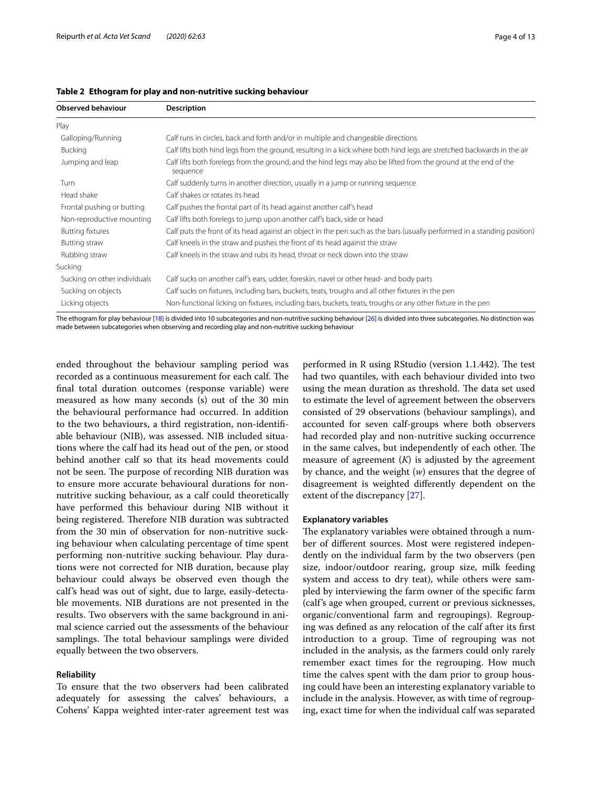| <b>Observed behaviour</b>    | <b>Description</b>                                                                                                           |
|------------------------------|------------------------------------------------------------------------------------------------------------------------------|
| Play                         |                                                                                                                              |
| Galloping/Running            | Calf runs in circles, back and forth and/or in multiple and changeable directions                                            |
| <b>Bucking</b>               | Calf lifts both hind legs from the ground, resulting in a kick where both hind legs are stretched backwards in the air       |
| Jumping and leap             | Calf lifts both forelegs from the ground, and the hind legs may also be lifted from the ground at the end of the<br>sequence |
| Turn                         | Calf suddenly turns in another direction, usually in a jump or running sequence                                              |
| Head shake                   | Calf shakes or rotates its head                                                                                              |
| Frontal pushing or butting   | Calf pushes the frontal part of its head against another calf's head                                                         |
| Non-reproductive mounting    | Calf lifts both forelegs to jump upon another calf's back, side or head                                                      |
| <b>Butting fixtures</b>      | Calf puts the front of its head against an object in the pen such as the bars (usually performed in a standing position)     |
| Butting straw                | Calf kneels in the straw and pushes the front of its head against the straw                                                  |
| Rubbing straw                | Calf kneels in the straw and rubs its head, throat or neck down into the straw                                               |
| Sucking                      |                                                                                                                              |
| Sucking on other individuals | Calf sucks on another calf's ears, udder, foreskin, navel or other head- and body parts                                      |
| Sucking on objects           | Calf sucks on fixtures, including bars, buckets, teats, troughs and all other fixtures in the pen                            |
| Licking objects              | Non-functional licking on fixtures, including bars, buckets, teats, troughs or any other fixture in the pen                  |

#### <span id="page-3-0"></span>**Table 2 Ethogram for play and non-nutritive sucking behaviour**

The ethogram for play behaviour [[18](#page-11-17)] is divided into 10 subcategories and non-nutritive sucking behaviour [[26](#page-11-25)] is divided into three subcategories. No distinction was made between subcategories when observing and recording play and non-nutritive sucking behaviour

ended throughout the behaviour sampling period was recorded as a continuous measurement for each calf. The fnal total duration outcomes (response variable) were measured as how many seconds (s) out of the 30 min the behavioural performance had occurred. In addition to the two behaviours, a third registration, non-identifable behaviour (NIB), was assessed. NIB included situations where the calf had its head out of the pen, or stood behind another calf so that its head movements could not be seen. The purpose of recording NIB duration was to ensure more accurate behavioural durations for nonnutritive sucking behaviour, as a calf could theoretically have performed this behaviour during NIB without it being registered. Therefore NIB duration was subtracted from the 30 min of observation for non-nutritive sucking behaviour when calculating percentage of time spent performing non-nutritive sucking behaviour. Play durations were not corrected for NIB duration, because play behaviour could always be observed even though the calf's head was out of sight, due to large, easily-detectable movements. NIB durations are not presented in the results. Two observers with the same background in animal science carried out the assessments of the behaviour samplings. The total behaviour samplings were divided equally between the two observers.

#### **Reliability**

To ensure that the two observers had been calibrated adequately for assessing the calves' behaviours, a Cohens' Kappa weighted inter-rater agreement test was

performed in R using RStudio (version 1.1.442). The test had two quantiles, with each behaviour divided into two using the mean duration as threshold. The data set used to estimate the level of agreement between the observers consisted of 29 observations (behaviour samplings), and accounted for seven calf-groups where both observers had recorded play and non-nutritive sucking occurrence in the same calves, but independently of each other. The measure of agreement  $(K)$  is adjusted by the agreement by chance, and the weight (*w*) ensures that the degree of disagreement is weighted diferently dependent on the extent of the discrepancy [[27](#page-11-26)].

#### **Explanatory variables**

The explanatory variables were obtained through a number of diferent sources. Most were registered independently on the individual farm by the two observers (pen size, indoor/outdoor rearing, group size, milk feeding system and access to dry teat), while others were sampled by interviewing the farm owner of the specifc farm (calf's age when grouped, current or previous sicknesses, organic/conventional farm and regroupings). Regrouping was defned as any relocation of the calf after its frst introduction to a group. Time of regrouping was not included in the analysis, as the farmers could only rarely remember exact times for the regrouping. How much time the calves spent with the dam prior to group housing could have been an interesting explanatory variable to include in the analysis. However, as with time of regrouping, exact time for when the individual calf was separated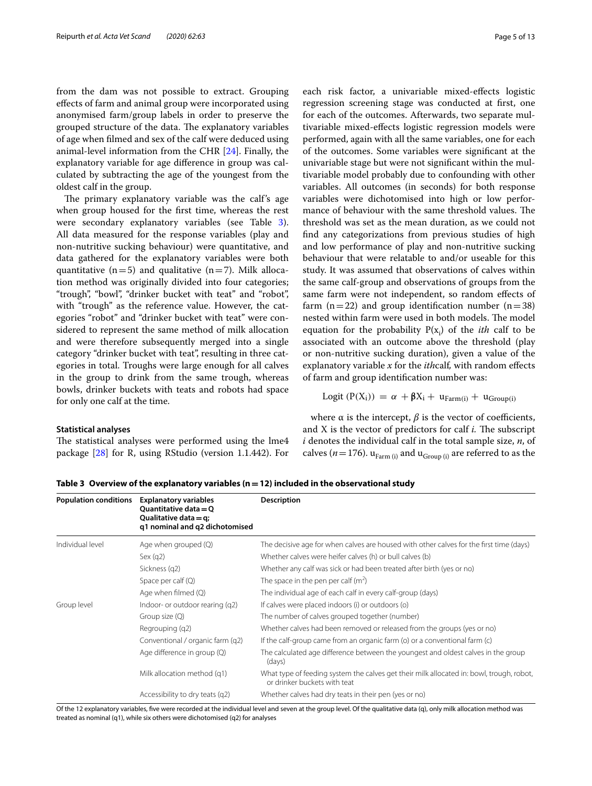from the dam was not possible to extract. Grouping efects of farm and animal group were incorporated using anonymised farm/group labels in order to preserve the grouped structure of the data. The explanatory variables of age when flmed and sex of the calf were deduced using animal-level information from the CHR [\[24](#page-11-23)]. Finally, the explanatory variable for age diference in group was calculated by subtracting the age of the youngest from the oldest calf in the group.

The primary explanatory variable was the calf's age when group housed for the frst time, whereas the rest were secondary explanatory variables (see Table [3](#page-4-0)). All data measured for the response variables (play and non-nutritive sucking behaviour) were quantitative, and data gathered for the explanatory variables were both quantitative ( $n=5$ ) and qualitative ( $n=7$ ). Milk allocation method was originally divided into four categories; "trough", "bowl", "drinker bucket with teat" and "robot", with "trough" as the reference value. However, the categories "robot" and "drinker bucket with teat" were considered to represent the same method of milk allocation and were therefore subsequently merged into a single category "drinker bucket with teat", resulting in three categories in total. Troughs were large enough for all calves in the group to drink from the same trough, whereas bowls, drinker buckets with teats and robots had space for only one calf at the time.

#### **Statistical analyses**

The statistical analyses were performed using the lme4 package [\[28](#page-11-27)] for R, using RStudio (version 1.1.442). For each risk factor, a univariable mixed-efects logistic regression screening stage was conducted at frst, one for each of the outcomes. Afterwards, two separate multivariable mixed-efects logistic regression models were performed, again with all the same variables, one for each of the outcomes. Some variables were signifcant at the univariable stage but were not signifcant within the multivariable model probably due to confounding with other variables. All outcomes (in seconds) for both response variables were dichotomised into high or low performance of behaviour with the same threshold values. The threshold was set as the mean duration, as we could not fnd any categorizations from previous studies of high and low performance of play and non-nutritive sucking behaviour that were relatable to and/or useable for this study. It was assumed that observations of calves within the same calf-group and observations of groups from the same farm were not independent, so random efects of farm  $(n=22)$  and group identification number  $(n=38)$ nested within farm were used in both models. The model equation for the probability  $P(x_i)$  of the *ith* calf to be associated with an outcome above the threshold (play or non-nutritive sucking duration), given a value of the explanatory variable *x* for the *ith*calf*,* with random efects of farm and group identifcation number was:

$$
Logit (P(X_i)) = \alpha + \beta X_i + u_{Farm(i)} + u_{Group(i)}
$$

where  $\alpha$  is the intercept,  $\beta$  is the vector of coefficients, and  $X$  is the vector of predictors for calf  $i$ . The subscript *i* denotes the individual calf in the total sample size, *n*, of calves ( $n=176$ ).  $u_{Farm (i)}$  and  $u_{Group (i)}$  are referred to as the

<span id="page-4-0"></span>

| Table 3 Overview of the explanatory variables $(n = 12)$ included in the observational study |  |
|----------------------------------------------------------------------------------------------|--|
|----------------------------------------------------------------------------------------------|--|

| <b>Population conditions</b> | <b>Explanatory variables</b><br>Quantitative data $=$ Q<br>Qualitative data = $q$ ;<br>q1 nominal and q2 dichotomised | <b>Description</b>                                                                                                       |
|------------------------------|-----------------------------------------------------------------------------------------------------------------------|--------------------------------------------------------------------------------------------------------------------------|
| Individual level             | Age when grouped (Q)                                                                                                  | The decisive age for when calves are housed with other calves for the first time (days)                                  |
|                              | Sex(q2)                                                                                                               | Whether calves were heifer calves (h) or bull calves (b)                                                                 |
|                              | Sickness (q2)                                                                                                         | Whether any calf was sick or had been treated after birth (yes or no)                                                    |
|                              | Space per calf $(Q)$                                                                                                  | The space in the pen per calf $(m2)$                                                                                     |
|                              | Age when filmed $(Q)$                                                                                                 | The individual age of each calf in every calf-group (days)                                                               |
| Group level                  | Indoor- or outdoor rearing (q2)                                                                                       | If calves were placed indoors (i) or outdoors (o)                                                                        |
|                              | Group size $(Q)$                                                                                                      | The number of calves grouped together (number)                                                                           |
|                              | Regrouping (q2)                                                                                                       | Whether calves had been removed or released from the groups (yes or no)                                                  |
|                              | Conventional / organic farm (q2)                                                                                      | If the calf-group came from an organic farm (o) or a conventional farm (c)                                               |
|                              | Age difference in group $(Q)$                                                                                         | The calculated age difference between the youngest and oldest calves in the group<br>(days)                              |
|                              | Milk allocation method (q1)                                                                                           | What type of feeding system the calves get their milk allocated in: bowl, trough, robot,<br>or drinker buckets with teat |
|                              | Accessibility to dry teats (q2)                                                                                       | Whether calves had dry teats in their pen (yes or no)                                                                    |

Of the 12 explanatory variables, fve were recorded at the individual level and seven at the group level. Of the qualitative data (q), only milk allocation method was treated as nominal (q1), while six others were dichotomised (q2) for analyses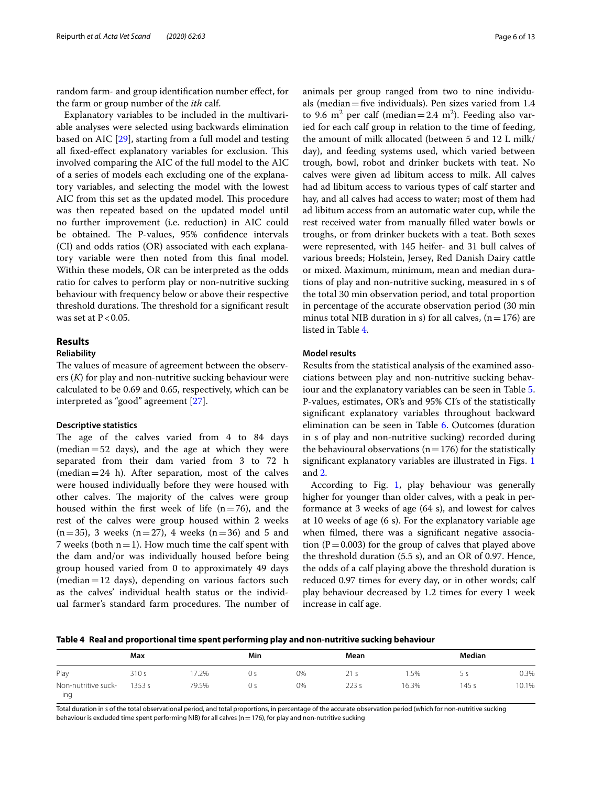random farm- and group identifcation number efect, for the farm or group number of the *ith* calf.

Explanatory variables to be included in the multivariable analyses were selected using backwards elimination based on AIC [[29\]](#page-11-28), starting from a full model and testing all fixed-effect explanatory variables for exclusion. This involved comparing the AIC of the full model to the AIC of a series of models each excluding one of the explanatory variables, and selecting the model with the lowest AIC from this set as the updated model. This procedure was then repeated based on the updated model until no further improvement (i.e. reduction) in AIC could be obtained. The P-values, 95% confidence intervals (CI) and odds ratios (OR) associated with each explanatory variable were then noted from this fnal model. Within these models, OR can be interpreted as the odds ratio for calves to perform play or non-nutritive sucking behaviour with frequency below or above their respective threshold durations. The threshold for a significant result was set at  $P < 0.05$ .

#### **Results**

#### **Reliability**

The values of measure of agreement between the observers (*K*) for play and non-nutritive sucking behaviour were calculated to be 0.69 and 0.65, respectively, which can be interpreted as "good" agreement [\[27\]](#page-11-26).

#### **Descriptive statistics**

The age of the calves varied from  $4$  to  $84$  days (median=52 days), and the age at which they were separated from their dam varied from 3 to 72 h  $(median=24 h)$ . After separation, most of the calves were housed individually before they were housed with other calves. The majority of the calves were group housed within the first week of life  $(n=76)$ , and the rest of the calves were group housed within 2 weeks  $(n=35)$ , 3 weeks  $(n=27)$ , 4 weeks  $(n=36)$  and 5 and 7 weeks (both  $n=1$ ). How much time the calf spent with the dam and/or was individually housed before being group housed varied from 0 to approximately 49 days  $(median=12 \text{ days})$ , depending on various factors such as the calves' individual health status or the individual farmer's standard farm procedures. The number of animals per group ranged from two to nine individuals (median=fve individuals). Pen sizes varied from 1.4 to 9.6 m<sup>2</sup> per calf (median = 2.4 m<sup>2</sup>). Feeding also varied for each calf group in relation to the time of feeding, the amount of milk allocated (between 5 and 12 L milk/ day), and feeding systems used, which varied between trough, bowl, robot and drinker buckets with teat. No calves were given ad libitum access to milk. All calves had ad libitum access to various types of calf starter and hay, and all calves had access to water; most of them had ad libitum access from an automatic water cup, while the rest received water from manually flled water bowls or troughs, or from drinker buckets with a teat. Both sexes were represented, with 145 heifer- and 31 bull calves of various breeds; Holstein, Jersey, Red Danish Dairy cattle or mixed. Maximum, minimum, mean and median durations of play and non-nutritive sucking, measured in s of the total 30 min observation period, and total proportion in percentage of the accurate observation period (30 min minus total NIB duration in s) for all calves,  $(n=176)$  are listed in Table [4.](#page-5-0)

#### **Model results**

Results from the statistical analysis of the examined associations between play and non-nutritive sucking behaviour and the explanatory variables can be seen in Table [5](#page-6-0). P-values, estimates, OR's and 95% CI's of the statistically signifcant explanatory variables throughout backward elimination can be seen in Table [6](#page-6-1). Outcomes (duration in s of play and non-nutritive sucking) recorded during the behavioural observations ( $n=176$ ) for the statistically significant explanatory variables are illustrated in Figs. [1](#page-7-0) and [2](#page-7-1).

According to Fig. [1,](#page-7-0) play behaviour was generally higher for younger than older calves, with a peak in performance at 3 weeks of age (64 s), and lowest for calves at 10 weeks of age (6 s). For the explanatory variable age when flmed, there was a signifcant negative association ( $P = 0.003$ ) for the group of calves that played above the threshold duration (5.5 s), and an OR of 0.97. Hence, the odds of a calf playing above the threshold duration is reduced 0.97 times for every day, or in other words; calf play behaviour decreased by 1.2 times for every 1 week increase in calf age.

#### <span id="page-5-0"></span>**Table 4 Real and proportional time spent performing play and non-nutritive sucking behaviour**

|                            | Max   |       | Min |    |       | Mean  |            | Median |  |
|----------------------------|-------|-------|-----|----|-------|-------|------------|--------|--|
| Play                       | 310 s | 7.2%  | 0 s | 0% | 21 S  | .5%   | <u>.</u> . | 0.3%   |  |
| Non-nutritive suck-<br>ing | 1353s | 79.5% | 0 s | 0% | 223 s | 16.3% | 145 s      | 10.1%  |  |

Total duration in s of the total observational period, and total proportions, in percentage of the accurate observation period (which for non-nutritive sucking behaviour is excluded time spent performing NIB) for all calves ( $n=176$ ), for play and non-nutritive sucking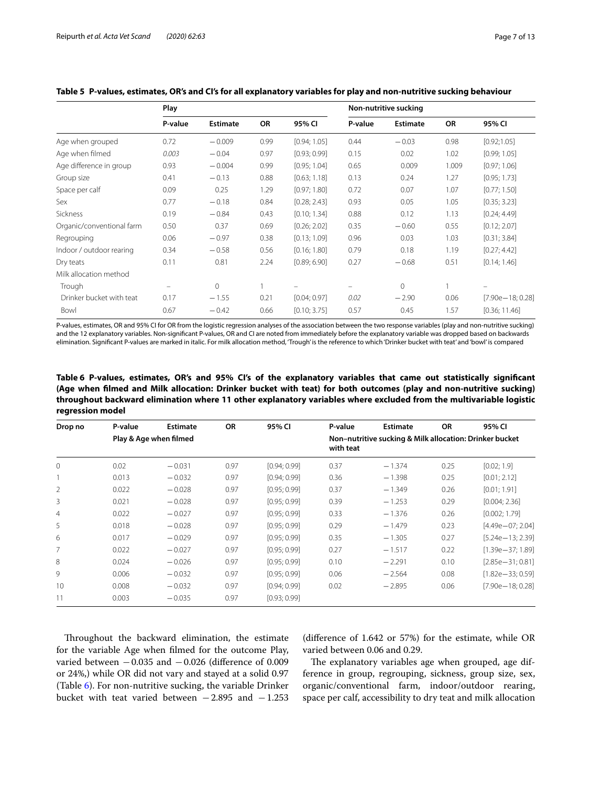|                           | Play    |                 |           |              | Non-nutritive sucking |                 |           |                      |
|---------------------------|---------|-----------------|-----------|--------------|-----------------------|-----------------|-----------|----------------------|
|                           | P-value | <b>Estimate</b> | <b>OR</b> | 95% CI       | P-value               | <b>Estimate</b> | <b>OR</b> | 95% CI               |
| Age when grouped          | 0.72    | $-0.009$        | 0.99      | [0.94; 1.05] | 0.44                  | $-0.03$         | 0.98      | [0.92;1.05]          |
| Age when filmed           | 0.003   | $-0.04$         | 0.97      | [0.93; 0.99] | 0.15                  | 0.02            | 1.02      | [0.99; 1.05]         |
| Age difference in group   | 0.93    | $-0.004$        | 0.99      | [0.95; 1.04] | 0.65                  | 0.009           | 1.009     | [0.97; 1.06]         |
| Group size                | 0.41    | $-0.13$         | 0.88      | [0.63; 1.18] | 0.13                  | 0.24            | 1.27      | [0.95; 1.73]         |
| Space per calf            | 0.09    | 0.25            | 1.29      | [0.97; 1.80] | 0.72                  | 0.07            | 1.07      | [0.77; 1.50]         |
| Sex                       | 0.77    | $-0.18$         | 0.84      | [0.28; 2.43] | 0.93                  | 0.05            | 1.05      | [0.35; 3.23]         |
| Sickness                  | 0.19    | $-0.84$         | 0.43      | [0.10; 1.34] | 0.88                  | 0.12            | 1.13      | [0.24; 4.49]         |
| Organic/conventional farm | 0.50    | 0.37            | 0.69      | [0.26; 2.02] | 0.35                  | $-0.60$         | 0.55      | [0.12; 2.07]         |
| Regrouping                | 0.06    | $-0.97$         | 0.38      | [0.13; 1.09] | 0.96                  | 0.03            | 1.03      | [0.31; 3.84]         |
| Indoor / outdoor rearing  | 0.34    | $-0.58$         | 0.56      | [0.16; 1.80] | 0.79                  | 0.18            | 1.19      | [0.27; 4.42]         |
| Dry teats                 | 0.11    | 0.81            | 2.24      | [0.89; 6.90] | 0.27                  | $-0.68$         | 0.51      | [0.14; 1.46]         |
| Milk allocation method    |         |                 |           |              |                       |                 |           |                      |
| Trough                    |         | $\mathbf 0$     |           |              |                       | $\mathbf{0}$    |           |                      |
| Drinker bucket with teat  | 0.17    | $-1.55$         | 0.21      | [0.04; 0.97] | 0.02                  | $-2.90$         | 0.06      | $[7.90e - 18; 0.28]$ |
| Bowl                      | 0.67    | $-0.42$         | 0.66      | [0.10; 3.75] | 0.57                  | 0.45            | 1.57      | [0.36; 11.46]        |

#### <span id="page-6-0"></span>**Table 5 P-values, estimates, OR's and CI's for all explanatory variables for play and non-nutritive sucking behaviour**

P-values, estimates, OR and 95% CI for OR from the logistic regression analyses of the association between the two response variables (play and non-nutritive sucking) and the 12 explanatory variables. Non-signifcant P-values, OR and CI are noted from immediately before the explanatory variable was dropped based on backwards elimination. Signifcant P-values are marked in italic. For milk allocation method, 'Trough' is the reference to which 'Drinker bucket with teat' and 'bowl' is compared

<span id="page-6-1"></span>**Table 6 P-values, estimates, OR's and 95% CI's of the explanatory variables that came out statistically signifcant (Age when flmed and Milk allocation: Drinker bucket with teat) for both outcomes (play and non-nutritive sucking) throughout backward elimination where 11 other explanatory variables where excluded from the multivariable logistic regression model**

| Drop no        | P-value                | <b>Estimate</b> | <b>OR</b> | 95% CI       | P-value                                                              | <b>Estimate</b> | <b>OR</b> | 95% CI               |  |
|----------------|------------------------|-----------------|-----------|--------------|----------------------------------------------------------------------|-----------------|-----------|----------------------|--|
|                | Play & Age when filmed |                 |           |              | Non-nutritive sucking & Milk allocation: Drinker bucket<br>with teat |                 |           |                      |  |
| 0              | 0.02                   | $-0.031$        | 0.97      | [0.94; 0.99] | 0.37                                                                 | $-1.374$        | 0.25      | [0.02; 1.9]          |  |
|                | 0.013                  | $-0.032$        | 0.97      | [0.94; 0.99] | 0.36                                                                 | $-1.398$        | 0.25      | [0.01; 2.12]         |  |
| $\overline{2}$ | 0.022                  | $-0.028$        | 0.97      | [0.95; 0.99] | 0.37                                                                 | $-1.349$        | 0.26      | [0.01; 1.91]         |  |
| 3              | 0.021                  | $-0.028$        | 0.97      | [0.95:0.99]  | 0.39                                                                 | $-1.253$        | 0.29      | [0.004; 2.36]        |  |
| $\overline{4}$ | 0.022                  | $-0.027$        | 0.97      | [0.95; 0.99] | 0.33                                                                 | $-1.376$        | 0.26      | [0.002; 1.79]        |  |
| 5              | 0.018                  | $-0.028$        | 0.97      | [0.95:0.99]  | 0.29                                                                 | $-1.479$        | 0.23      | [4.49e-07: 2.04]     |  |
| 6              | 0.017                  | $-0.029$        | 0.97      | [0.95; 0.99] | 0.35                                                                 | $-1.305$        | 0.27      | $[5.24e-13; 2.39]$   |  |
| $\overline{7}$ | 0.022                  | $-0.027$        | 0.97      | [0.95:0.99]  | 0.27                                                                 | $-1.517$        | 0.22      | [1.39e-37:1.89]      |  |
| 8              | 0.024                  | $-0.026$        | 0.97      | [0.95; 0.99] | 0.10                                                                 | $-2.291$        | 0.10      | $[2.85e - 31; 0.81]$ |  |
| 9              | 0.006                  | $-0.032$        | 0.97      | [0.95; 0.99] | 0.06                                                                 | $-2.564$        | 0.08      | $[1.82e - 33; 0.59]$ |  |
| 10             | 0.008                  | $-0.032$        | 0.97      | [0.94; 0.99] | 0.02                                                                 | $-2.895$        | 0.06      | [7.90e-18; 0.28]     |  |
| 11             | 0.003                  | $-0.035$        | 0.97      | [0.93; 0.99] |                                                                      |                 |           |                      |  |

Throughout the backward elimination, the estimate for the variable Age when flmed for the outcome Play, varied between  $-0.035$  and  $-0.026$  (difference of 0.009 or 24%,) while OR did not vary and stayed at a solid 0.97 (Table [6\)](#page-6-1). For non-nutritive sucking, the variable Drinker bucket with teat varied between −2.895 and −1.253

(diference of 1.642 or 57%) for the estimate, while OR varied between 0.06 and 0.29.

The explanatory variables age when grouped, age difference in group, regrouping, sickness, group size, sex, organic/conventional farm, indoor/outdoor rearing, space per calf, accessibility to dry teat and milk allocation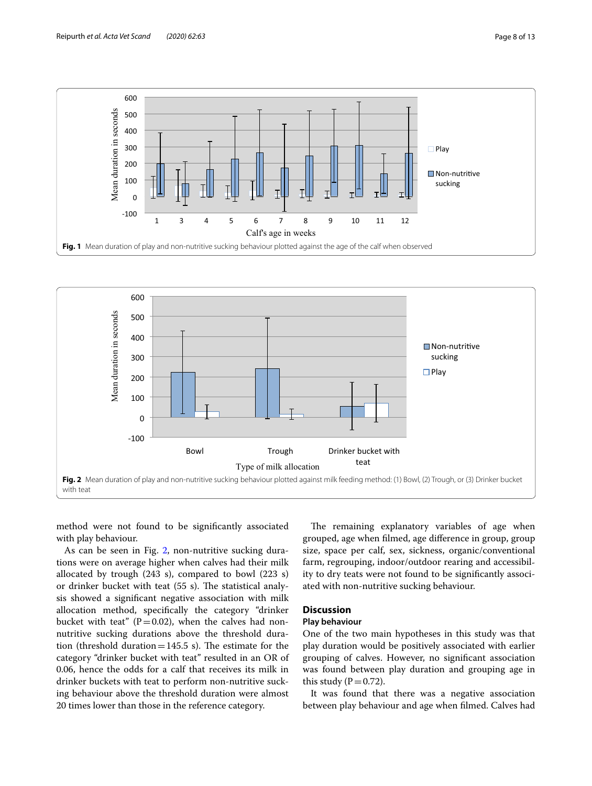

<span id="page-7-0"></span>

<span id="page-7-1"></span>method were not found to be signifcantly associated with play behaviour.

As can be seen in Fig. [2](#page-7-1), non-nutritive sucking durations were on average higher when calves had their milk allocated by trough (243 s), compared to bowl (223 s) or drinker bucket with teat  $(55 s)$ . The statistical analysis showed a signifcant negative association with milk allocation method, specifcally the category "drinker bucket with teat" ( $P=0.02$ ), when the calves had nonnutritive sucking durations above the threshold duration (threshold duration =  $145.5$  s). The estimate for the category "drinker bucket with teat" resulted in an OR of 0.06, hence the odds for a calf that receives its milk in drinker buckets with teat to perform non-nutritive sucking behaviour above the threshold duration were almost 20 times lower than those in the reference category.

The remaining explanatory variables of age when grouped, age when flmed, age diference in group, group size, space per calf, sex, sickness, organic/conventional farm, regrouping, indoor/outdoor rearing and accessibility to dry teats were not found to be signifcantly associated with non-nutritive sucking behaviour.

### **Discussion**

#### **Play behaviour**

One of the two main hypotheses in this study was that play duration would be positively associated with earlier grouping of calves. However, no signifcant association was found between play duration and grouping age in this study ( $P = 0.72$ ).

It was found that there was a negative association between play behaviour and age when flmed. Calves had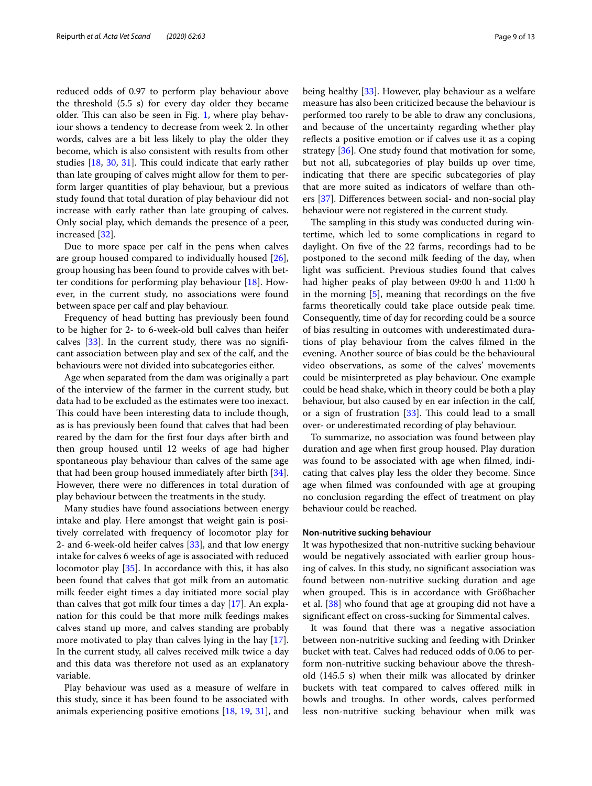reduced odds of 0.97 to perform play behaviour above the threshold (5.5 s) for every day older they became older. This can also be seen in Fig. [1](#page-7-0), where play behaviour shows a tendency to decrease from week 2. In other words, calves are a bit less likely to play the older they become, which is also consistent with results from other studies  $[18, 30, 31]$  $[18, 30, 31]$  $[18, 30, 31]$  $[18, 30, 31]$  $[18, 30, 31]$  $[18, 30, 31]$  $[18, 30, 31]$ . This could indicate that early rather than late grouping of calves might allow for them to perform larger quantities of play behaviour, but a previous study found that total duration of play behaviour did not increase with early rather than late grouping of calves. Only social play, which demands the presence of a peer, increased [\[32](#page-11-31)].

Due to more space per calf in the pens when calves are group housed compared to individually housed [\[26](#page-11-25)], group housing has been found to provide calves with better conditions for performing play behaviour [[18\]](#page-11-17). However, in the current study, no associations were found between space per calf and play behaviour.

Frequency of head butting has previously been found to be higher for 2- to 6-week-old bull calves than heifer calves  $[33]$  $[33]$ . In the current study, there was no significant association between play and sex of the calf, and the behaviours were not divided into subcategories either.

Age when separated from the dam was originally a part of the interview of the farmer in the current study, but data had to be excluded as the estimates were too inexact. This could have been interesting data to include though, as is has previously been found that calves that had been reared by the dam for the frst four days after birth and then group housed until 12 weeks of age had higher spontaneous play behaviour than calves of the same age that had been group housed immediately after birth [\[34](#page-11-33)]. However, there were no diferences in total duration of play behaviour between the treatments in the study.

Many studies have found associations between energy intake and play. Here amongst that weight gain is positively correlated with frequency of locomotor play for 2- and 6-week-old heifer calves [[33\]](#page-11-32), and that low energy intake for calves 6 weeks of age is associated with reduced locomotor play [[35\]](#page-11-34). In accordance with this, it has also been found that calves that got milk from an automatic milk feeder eight times a day initiated more social play than calves that got milk four times a day [[17](#page-11-16)]. An explanation for this could be that more milk feedings makes calves stand up more, and calves standing are probably more motivated to play than calves lying in the hay [\[17](#page-11-16)]. In the current study, all calves received milk twice a day and this data was therefore not used as an explanatory variable.

Play behaviour was used as a measure of welfare in this study, since it has been found to be associated with animals experiencing positive emotions [[18](#page-11-17), [19,](#page-11-18) [31\]](#page-11-30), and being healthy [\[33](#page-11-32)]. However, play behaviour as a welfare measure has also been criticized because the behaviour is performed too rarely to be able to draw any conclusions, and because of the uncertainty regarding whether play reflects a positive emotion or if calves use it as a coping strategy [\[36\]](#page-11-35). One study found that motivation for some, but not all, subcategories of play builds up over time, indicating that there are specifc subcategories of play that are more suited as indicators of welfare than others [[37\]](#page-11-36). Diferences between social- and non-social play behaviour were not registered in the current study.

The sampling in this study was conducted during wintertime, which led to some complications in regard to daylight. On fve of the 22 farms, recordings had to be postponed to the second milk feeding of the day, when light was sufficient. Previous studies found that calves had higher peaks of play between 09:00 h and 11:00 h in the morning  $[5]$  $[5]$ , meaning that recordings on the five farms theoretically could take place outside peak time. Consequently, time of day for recording could be a source of bias resulting in outcomes with underestimated durations of play behaviour from the calves flmed in the evening. Another source of bias could be the behavioural video observations, as some of the calves' movements could be misinterpreted as play behaviour. One example could be head shake, which in theory could be both a play behaviour, but also caused by en ear infection in the calf, or a sign of frustration  $[33]$ . This could lead to a small over- or underestimated recording of play behaviour.

To summarize, no association was found between play duration and age when frst group housed. Play duration was found to be associated with age when flmed, indicating that calves play less the older they become. Since age when flmed was confounded with age at grouping no conclusion regarding the efect of treatment on play behaviour could be reached.

#### **Non-nutritive sucking behaviour**

It was hypothesized that non-nutritive sucking behaviour would be negatively associated with earlier group housing of calves. In this study, no signifcant association was found between non-nutritive sucking duration and age when grouped. This is in accordance with Größbacher et al. [[38](#page-11-37)] who found that age at grouping did not have a signifcant efect on cross-sucking for Simmental calves.

It was found that there was a negative association between non-nutritive sucking and feeding with Drinker bucket with teat. Calves had reduced odds of 0.06 to perform non-nutritive sucking behaviour above the threshold (145.5 s) when their milk was allocated by drinker buckets with teat compared to calves ofered milk in bowls and troughs. In other words, calves performed less non-nutritive sucking behaviour when milk was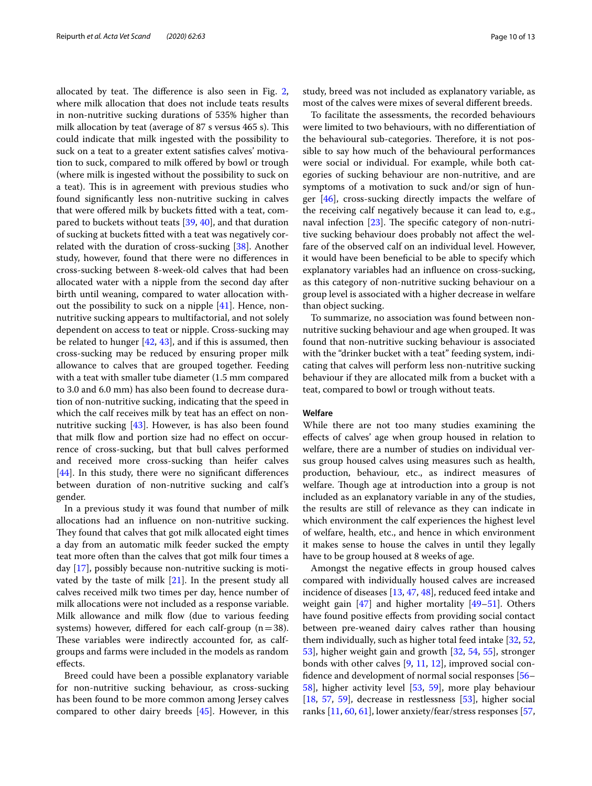allocated by teat. The difference is also seen in Fig.  $2$ , where milk allocation that does not include teats results in non-nutritive sucking durations of 535% higher than milk allocation by teat (average of 87 s versus 465 s). This could indicate that milk ingested with the possibility to suck on a teat to a greater extent satisfes calves' motivation to suck, compared to milk offered by bowl or trough (where milk is ingested without the possibility to suck on a teat). This is in agreement with previous studies who found signifcantly less non-nutritive sucking in calves that were offered milk by buckets fitted with a teat, compared to buckets without teats [[39](#page-11-38), [40](#page-11-39)], and that duration of sucking at buckets ftted with a teat was negatively correlated with the duration of cross-sucking [[38\]](#page-11-37). Another study, however, found that there were no diferences in cross-sucking between 8-week-old calves that had been allocated water with a nipple from the second day after birth until weaning, compared to water allocation without the possibility to suck on a nipple  $[41]$  $[41]$ . Hence, nonnutritive sucking appears to multifactorial, and not solely dependent on access to teat or nipple. Cross-sucking may be related to hunger [[42,](#page-12-0) [43](#page-12-1)], and if this is assumed, then cross-sucking may be reduced by ensuring proper milk allowance to calves that are grouped together. Feeding with a teat with smaller tube diameter (1.5 mm compared to 3.0 and 6.0 mm) has also been found to decrease duration of non-nutritive sucking, indicating that the speed in which the calf receives milk by teat has an effect on nonnutritive sucking [[43\]](#page-12-1). However, is has also been found that milk flow and portion size had no effect on occurrence of cross-sucking, but that bull calves performed and received more cross-sucking than heifer calves  $[44]$  $[44]$ . In this study, there were no significant differences between duration of non-nutritive sucking and calf's gender.

In a previous study it was found that number of milk allocations had an infuence on non-nutritive sucking. They found that calves that got milk allocated eight times a day from an automatic milk feeder sucked the empty teat more often than the calves that got milk four times a day [[17\]](#page-11-16), possibly because non-nutritive sucking is motivated by the taste of milk [[21\]](#page-11-20). In the present study all calves received milk two times per day, hence number of milk allocations were not included as a response variable. Milk allowance and milk flow (due to various feeding systems) however, differed for each calf-group  $(n=38)$ . These variables were indirectly accounted for, as calfgroups and farms were included in the models as random efects.

Breed could have been a possible explanatory variable for non-nutritive sucking behaviour, as cross-sucking has been found to be more common among Jersey calves compared to other dairy breeds [[45\]](#page-12-3). However, in this study, breed was not included as explanatory variable, as most of the calves were mixes of several diferent breeds.

To facilitate the assessments, the recorded behaviours were limited to two behaviours, with no diferentiation of the behavioural sub-categories. Therefore, it is not possible to say how much of the behavioural performances were social or individual. For example, while both categories of sucking behaviour are non-nutritive, and are symptoms of a motivation to suck and/or sign of hunger [\[46](#page-12-4)], cross-sucking directly impacts the welfare of the receiving calf negatively because it can lead to, e.g., naval infection  $[23]$  $[23]$ . The specific category of non-nutritive sucking behaviour does probably not afect the welfare of the observed calf on an individual level. However, it would have been benefcial to be able to specify which explanatory variables had an infuence on cross-sucking, as this category of non-nutritive sucking behaviour on a group level is associated with a higher decrease in welfare than object sucking.

To summarize, no association was found between nonnutritive sucking behaviour and age when grouped. It was found that non-nutritive sucking behaviour is associated with the "drinker bucket with a teat" feeding system, indicating that calves will perform less non-nutritive sucking behaviour if they are allocated milk from a bucket with a teat, compared to bowl or trough without teats.

#### **Welfare**

While there are not too many studies examining the efects of calves' age when group housed in relation to welfare, there are a number of studies on individual versus group housed calves using measures such as health, production, behaviour, etc., as indirect measures of welfare. Though age at introduction into a group is not included as an explanatory variable in any of the studies, the results are still of relevance as they can indicate in which environment the calf experiences the highest level of welfare, health, etc., and hence in which environment it makes sense to house the calves in until they legally have to be group housed at 8 weeks of age.

Amongst the negative efects in group housed calves compared with individually housed calves are increased incidence of diseases [\[13,](#page-11-12) [47](#page-12-5), [48](#page-12-6)], reduced feed intake and weight gain [\[47](#page-12-5)] and higher mortality [[49–](#page-12-7)[51](#page-12-8)]. Others have found positive efects from providing social contact between pre-weaned dairy calves rather than housing them individually, such as higher total feed intake [\[32,](#page-11-31) [52](#page-12-9), [53\]](#page-12-10), higher weight gain and growth [\[32](#page-11-31), [54](#page-12-11), [55\]](#page-12-12), stronger bonds with other calves [[9,](#page-11-8) [11,](#page-11-10) [12\]](#page-11-11), improved social confdence and development of normal social responses [[56–](#page-12-13) [58\]](#page-12-14), higher activity level [\[53,](#page-12-10) [59](#page-12-15)], more play behaviour [[18,](#page-11-17) [57,](#page-12-16) [59\]](#page-12-15), decrease in restlessness [[53](#page-12-10)], higher social ranks [[11](#page-11-10), [60,](#page-12-17) [61\]](#page-12-18), lower anxiety/fear/stress responses [[57](#page-12-16),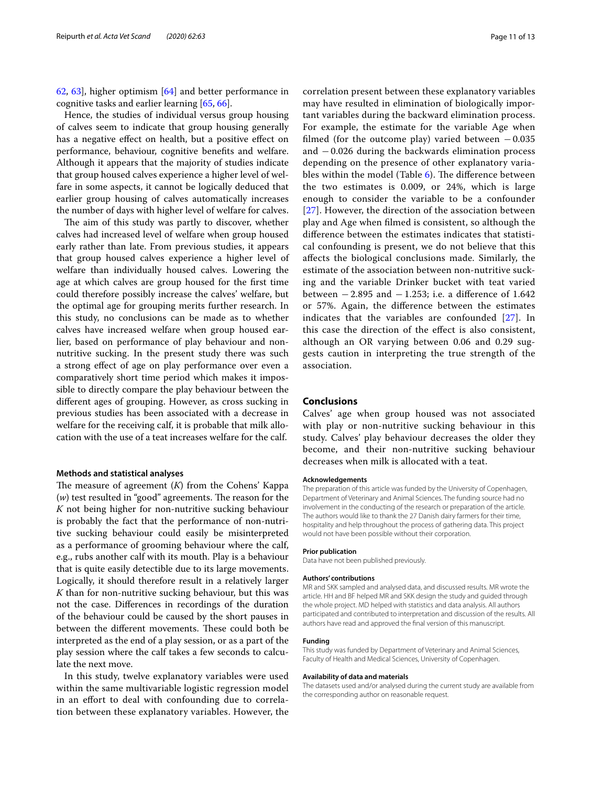[62,](#page-12-19) [63\]](#page-12-20), higher optimism [\[64\]](#page-12-21) and better performance in cognitive tasks and earlier learning [\[65,](#page-12-22) [66](#page-12-23)].

Hence, the studies of individual versus group housing of calves seem to indicate that group housing generally has a negative efect on health, but a positive efect on performance, behaviour, cognitive benefts and welfare. Although it appears that the majority of studies indicate that group housed calves experience a higher level of welfare in some aspects, it cannot be logically deduced that earlier group housing of calves automatically increases the number of days with higher level of welfare for calves.

The aim of this study was partly to discover, whether calves had increased level of welfare when group housed early rather than late. From previous studies, it appears that group housed calves experience a higher level of welfare than individually housed calves. Lowering the age at which calves are group housed for the frst time could therefore possibly increase the calves' welfare, but the optimal age for grouping merits further research. In this study, no conclusions can be made as to whether calves have increased welfare when group housed earlier, based on performance of play behaviour and nonnutritive sucking. In the present study there was such a strong efect of age on play performance over even a comparatively short time period which makes it impossible to directly compare the play behaviour between the diferent ages of grouping. However, as cross sucking in previous studies has been associated with a decrease in welfare for the receiving calf, it is probable that milk allocation with the use of a teat increases welfare for the calf.

#### **Methods and statistical analyses**

The measure of agreement  $(K)$  from the Cohens' Kappa  $(w)$  test resulted in "good" agreements. The reason for the *K* not being higher for non-nutritive sucking behaviour is probably the fact that the performance of non-nutritive sucking behaviour could easily be misinterpreted as a performance of grooming behaviour where the calf, e.g., rubs another calf with its mouth. Play is a behaviour that is quite easily detectible due to its large movements. Logically, it should therefore result in a relatively larger *K* than for non-nutritive sucking behaviour, but this was not the case. Diferences in recordings of the duration of the behaviour could be caused by the short pauses in between the different movements. These could both be interpreted as the end of a play session, or as a part of the play session where the calf takes a few seconds to calculate the next move.

In this study, twelve explanatory variables were used within the same multivariable logistic regression model in an efort to deal with confounding due to correlation between these explanatory variables. However, the

correlation present between these explanatory variables may have resulted in elimination of biologically important variables during the backward elimination process. For example, the estimate for the variable Age when filmed (for the outcome play) varied between  $-0.035$ and −0.026 during the backwards elimination process depending on the presence of other explanatory variables within the model (Table  $6$ ). The difference between the two estimates is 0.009, or 24%, which is large enough to consider the variable to be a confounder [[27](#page-11-26)]. However, the direction of the association between play and Age when flmed is consistent, so although the diference between the estimates indicates that statistical confounding is present, we do not believe that this afects the biological conclusions made. Similarly, the estimate of the association between non-nutritive sucking and the variable Drinker bucket with teat varied between −2.895 and −1.253; i.e. a diference of 1.642 or 57%. Again, the diference between the estimates indicates that the variables are confounded [[27\]](#page-11-26). In this case the direction of the efect is also consistent, although an OR varying between 0.06 and 0.29 suggests caution in interpreting the true strength of the association.

#### **Conclusions**

Calves' age when group housed was not associated with play or non-nutritive sucking behaviour in this study. Calves' play behaviour decreases the older they become, and their non-nutritive sucking behaviour decreases when milk is allocated with a teat.

#### **Acknowledgements**

The preparation of this article was funded by the University of Copenhagen, Department of Veterinary and Animal Sciences. The funding source had no involvement in the conducting of the research or preparation of the article. The authors would like to thank the 27 Danish dairy farmers for their time, hospitality and help throughout the process of gathering data. This project would not have been possible without their corporation.

#### **Prior publication**

Data have not been published previously.

#### **Authors' contributions**

MR and SKK sampled and analysed data, and discussed results. MR wrote the article. HH and BF helped MR and SKK design the study and guided through the whole project. MD helped with statistics and data analysis. All authors participated and contributed to interpretation and discussion of the results. All authors have read and approved the fnal version of this manuscript.

#### **Funding**

This study was funded by Department of Veterinary and Animal Sciences, Faculty of Health and Medical Sciences, University of Copenhagen.

#### **Availability of data and materials**

The datasets used and/or analysed during the current study are available from the corresponding author on reasonable request.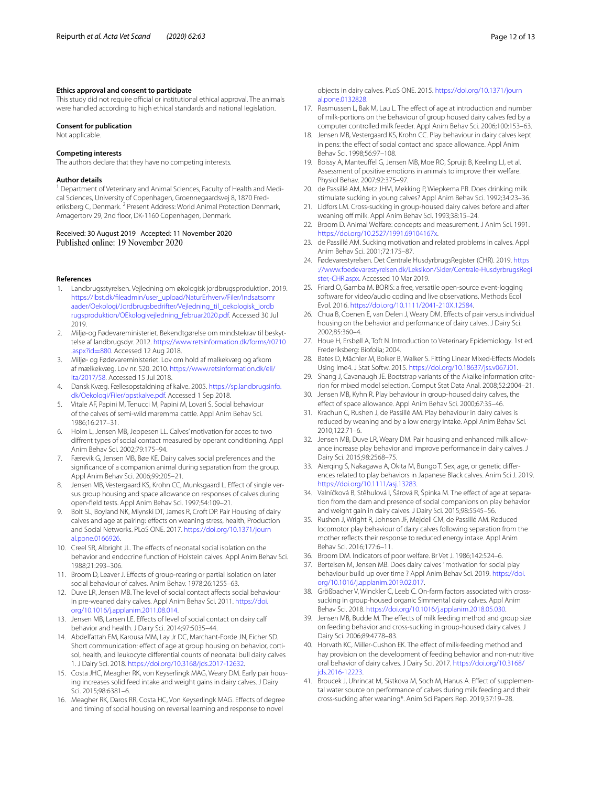#### **Ethics approval and consent to participate**

This study did not require official or institutional ethical approval. The animals were handled according to high ethical standards and national legislation.

#### **Consent for publication**

Not applicable.

#### **Competing interests**

The authors declare that they have no competing interests.

#### **Author details**

<sup>1</sup> Department of Veterinary and Animal Sciences, Faculty of Health and Medical Sciences, University of Copenhagen, Groennegaardsvej 8, 1870 Frederiksberg C, Denmark.<sup>2</sup> Present Address: World Animal Protection Denmark, Amagertorv 29, 2nd floor, DK-1160 Copenhagen, Denmark.

# Received: 30 August 2019 Accepted: 11 November 2020

#### **References**

- <span id="page-11-0"></span>1. Landbrugsstyrelsen. Vejledning om økologisk jordbrugsproduktion. 2019. [https://lbst.dk/fleadmin/user\\_upload/NaturErhverv/Filer/Indsatsomr](https://lbst.dk/fileadmin/user_upload/NaturErhverv/Filer/Indsatsomraader/Oekologi/Jordbrugsbedrifter/Vejledning_til_oekologisk_jordbrugsproduktion/OEkologivejledning_februar2020.pdf) [aader/Oekologi/Jordbrugsbedrifter/Vejledning\\_til\\_oekologisk\\_jordb](https://lbst.dk/fileadmin/user_upload/NaturErhverv/Filer/Indsatsomraader/Oekologi/Jordbrugsbedrifter/Vejledning_til_oekologisk_jordbrugsproduktion/OEkologivejledning_februar2020.pdf) [rugsproduktion/OEkologivejledning\\_februar2020.pdf](https://lbst.dk/fileadmin/user_upload/NaturErhverv/Filer/Indsatsomraader/Oekologi/Jordbrugsbedrifter/Vejledning_til_oekologisk_jordbrugsproduktion/OEkologivejledning_februar2020.pdf). Accessed 30 Jul 2019.
- <span id="page-11-1"></span>2. Miljø-og Fødevareministeriet. Bekendtgørelse om mindstekrav til beskyttelse af landbrugsdyr. 2012. [https://www.retsinformation.dk/forms/r0710](https://www.retsinformation.dk/forms/r0710.aspx?id=880) [.aspx?id](https://www.retsinformation.dk/forms/r0710.aspx?id=880)=880. Accessed 12 Aug 2018.
- <span id="page-11-2"></span>3. Miljø- og Fødevareministeriet. Lov om hold af malkekvæg og afkom af mælkekvæg. Lov nr. 520. 2010. [https://www.retsinformation.dk/eli/](https://www.retsinformation.dk/eli/lta/2017/58) [lta/2017/58](https://www.retsinformation.dk/eli/lta/2017/58). Accessed 15 Jul 2018.
- <span id="page-11-3"></span>4. Dansk Kvæg. Fællesopstaldning af kalve. 2005. [https://sp.landbrugsinfo.](https://sp.landbrugsinfo.dk/Oekologi/Filer/opstkalve.pdf) [dk/Oekologi/Filer/opstkalve.pdf.](https://sp.landbrugsinfo.dk/Oekologi/Filer/opstkalve.pdf) Accessed 1 Sep 2018.
- <span id="page-11-4"></span>5. Vitale AF, Papini M, Tenucci M, Papini M, Lovari S. Social behaviour of the calves of semi-wild maremma cattle. Appl Anim Behav Sci. 1986;16:217–31.
- <span id="page-11-5"></span>6. Holm L, Jensen MB, Jeppesen LL. Calves' motivation for acces to two difrent types of social contact measured by operant conditioning. Appl Anim Behav Sci. 2002;79:175–94.
- <span id="page-11-6"></span>7. Færevik G, Jensen MB, Bøe KE. Dairy calves social preferences and the signifcance of a companion animal during separation from the group. Appl Anim Behav Sci. 2006;99:205–21.
- <span id="page-11-7"></span>8. Jensen MB, Vestergaard KS, Krohn CC, Munksgaard L. Effect of single versus group housing and space allowance on responses of calves during open-feld tests. Appl Anim Behav Sci. 1997;54:109–21.
- <span id="page-11-8"></span>9. Bolt SL, Boyland NK, Mlynski DT, James R, Croft DP. Pair Housing of dairy calves and age at pairing: effects on weaning stress, health, Production and Social Networks. PLoS ONE. 2017. [https://doi.org/10.1371/journ](https://doi.org/10.1371/journal.pone.0166926) [al.pone.0166926.](https://doi.org/10.1371/journal.pone.0166926)
- <span id="page-11-9"></span>10. Creel SR, Albright JL. The effects of neonatal social isolation on the behavior and endocrine function of Holstein calves. Appl Anim Behav Sci. 1988;21:293–306.
- <span id="page-11-10"></span>11. Broom D, Leaver J. Efects of group-rearing or partial isolation on later social behaviour of calves. Anim Behav. 1978;26:1255–63.
- <span id="page-11-11"></span>12. Duve LR, Jensen MB. The level of social contact afects social behaviour in pre-weaned dairy calves. Appl Anim Behav Sci. 2011. [https://doi.](https://doi.org/10.1016/j.applanim.2011.08.014) [org/10.1016/j.applanim.2011.08.014.](https://doi.org/10.1016/j.applanim.2011.08.014)
- <span id="page-11-12"></span>13. Jensen MB, Larsen LE. Efects of level of social contact on dairy calf behavior and health. J Dairy Sci. 2014;97:5035–44.
- <span id="page-11-13"></span>14. Abdelfattah EM, Karousa MM, Lay Jr DC, Marchant-Forde JN, Eicher SD. Short communication: effect of age at group housing on behavior, cortisol, health, and leukocyte diferential counts of neonatal bull dairy calves 1. J Dairy Sci. 2018. <https://doi.org/10.3168/jds.2017-12632>.
- <span id="page-11-14"></span>15. Costa JHC, Meagher RK, von Keyserlingk MAG, Weary DM. Early pair housing increases solid feed intake and weight gains in dairy calves. J Dairy Sci. 2015;98:6381–6.
- <span id="page-11-15"></span>16. Meagher RK, Daros RR, Costa HC, Von Keyserlingk MAG. Efects of degree and timing of social housing on reversal learning and response to novel

objects in dairy calves. PLoS ONE. 2015. [https://doi.org/10.1371/journ](https://doi.org/10.1371/journal.pone.0132828) [al.pone.0132828.](https://doi.org/10.1371/journal.pone.0132828)

- <span id="page-11-16"></span>17. Rasmussen L, Bak M, Lau L. The effect of age at introduction and number of milk-portions on the behaviour of group housed dairy calves fed by a computer controlled milk feeder. Appl Anim Behav Sci. 2006;100:153–63.
- <span id="page-11-17"></span>18. Jensen MB, Vestergaard KS, Krohn CC. Play behaviour in dairy calves kept in pens: the effect of social contact and space allowance. Appl Anim Behav Sci. 1998;56:97–108.
- <span id="page-11-18"></span>19. Boissy A, Manteuffel G, Jensen MB, Moe RO, Spruijt B, Keeling LJ, et al. Assessment of positive emotions in animals to improve their welfare. Physiol Behav. 2007;92:375–97.
- <span id="page-11-19"></span>20. de Passillé AM, Metz JHM, Mekking P, Wiepkema PR. Does drinking milk stimulate sucking in young calves? Appl Anim Behav Sci. 1992;34:23–36.
- <span id="page-11-20"></span>21. Lidfors LM. Cross-sucking in group-housed dairy calves before and after weaning off milk. Appl Anim Behav Sci. 1993;38:15-24.
- <span id="page-11-21"></span>22. Broom D. Animal Welfare: concepts and measurement. J Anim Sci. 1991. <https://doi.org/10.2527/1991.69104167x>.
- <span id="page-11-22"></span>23. de Passillé AM. Sucking motivation and related problems in calves. Appl Anim Behav Sci. 2001;72:175–87.
- <span id="page-11-23"></span>24. Fødevarestyrelsen. Det Centrale HusdyrbrugsRegister (CHR). 2019. [https](https://www.foedevarestyrelsen.dk/Leksikon/Sider/Centrale-HusdyrbrugsRegister,-CHR.aspx) [://www.foedevarestyrelsen.dk/Leksikon/Sider/Centrale-HusdyrbrugsRegi](https://www.foedevarestyrelsen.dk/Leksikon/Sider/Centrale-HusdyrbrugsRegister,-CHR.aspx) [ster,-CHR.aspx.](https://www.foedevarestyrelsen.dk/Leksikon/Sider/Centrale-HusdyrbrugsRegister,-CHR.aspx) Accessed 10 Mar 2019.
- <span id="page-11-24"></span>25. Friard O, Gamba M. BORIS: a free, versatile open-source event-logging software for video/audio coding and live observations. Methods Ecol Evol. 2016. [https://doi.org/10.1111/2041-210X.12584.](https://doi.org/10.1111/2041-210X.12584)
- <span id="page-11-25"></span>26. Chua B, Coenen E, van Delen J, Weary DM. Efects of pair versus individual housing on the behavior and performance of dairy calves. J Dairy Sci. 2002;85:360–4.
- <span id="page-11-26"></span>27. Houe H, Ersbøll A, Toft N. Introduction to Veterinary Epidemiology. 1st ed. Frederiksberg: Biofolia; 2004.
- <span id="page-11-27"></span>28. Bates D, Mächler M, Bolker B, Walker S. Fitting Linear Mixed-Efects Models Using lme4. J Stat Softw. 2015. <https://doi.org/10.18637/jss.v067.i01>.
- <span id="page-11-28"></span>29. Shang J, Cavanaugh JE. Bootstrap variants of the Akaike information criterion for mixed model selection. Comput Stat Data Anal. 2008;52:2004–21.
- <span id="page-11-29"></span>30. Jensen MB, Kyhn R. Play behaviour in group-housed dairy calves, the efect of space allowance. Appl Anim Behav Sci. 2000;67:35–46.
- <span id="page-11-30"></span>31. Krachun C, Rushen J, de Passillé AM. Play behaviour in dairy calves is reduced by weaning and by a low energy intake. Appl Anim Behav Sci. 2010;122:71–6.
- <span id="page-11-31"></span>32. Jensen MB, Duve LR, Weary DM. Pair housing and enhanced milk allowance increase play behavior and improve performance in dairy calves. J Dairy Sci. 2015;98:2568–75.
- <span id="page-11-32"></span>33. Aierqing S, Nakagawa A, Okita M, Bungo T. Sex, age, or genetic diferences related to play behaviors in Japanese Black calves. Anim Sci J. 2019. [https://doi.org/10.1111/asj.13283.](https://doi.org/10.1111/asj.13283)
- <span id="page-11-33"></span>34. Valníčková B, Stěhulová I, Šárová R, Špinka M. The efect of age at separation from the dam and presence of social companions on play behavior and weight gain in dairy calves. J Dairy Sci. 2015;98:5545–56.
- <span id="page-11-34"></span>35. Rushen J, Wright R, Johnsen JF, Mejdell CM, de Passillé AM. Reduced locomotor play behaviour of dairy calves following separation from the mother refects their response to reduced energy intake. Appl Anim Behav Sci. 2016;177:6–11.
- <span id="page-11-35"></span>36. Broom DM. Indicators of poor welfare. Br Vet J. 1986;142:524–6.
- <span id="page-11-36"></span>37. Bertelsen M, Jensen MB. Does dairy calves ' motivation for social play behaviour build up over time ? Appl Anim Behav Sci. 2019. [https://doi.](https://doi.org/10.1016/j.applanim.2019.02.017) [org/10.1016/j.applanim.2019.02.017.](https://doi.org/10.1016/j.applanim.2019.02.017)
- <span id="page-11-37"></span>38. Größbacher V, Winckler C, Leeb C. On-farm factors associated with crosssucking in group-housed organic Simmental dairy calves. Appl Anim Behav Sci. 2018. <https://doi.org/10.1016/j.applanim.2018.05.030>.
- <span id="page-11-38"></span>39. Jensen MB, Budde M. The effects of milk feeding method and group size on feeding behavior and cross-sucking in group-housed dairy calves. J Dairy Sci. 2006;89:4778–83.
- <span id="page-11-39"></span>40. Horvath KC, Miller-Cushon EK. The efect of milk-feeding method and hay provision on the development of feeding behavior and non-nutritive oral behavior of dairy calves. J Dairy Sci. 2017. [https://doi.org/10.3168/](https://doi.org/10.3168/jds.2016-12223) [jds.2016-12223.](https://doi.org/10.3168/jds.2016-12223)
- <span id="page-11-40"></span>41. Broucek J, Uhrincat M, Sistkova M, Soch M, Hanus A. Efect of supplemental water source on performance of calves during milk feeding and their cross-sucking after weaning\*. Anim Sci Papers Rep. 2019;37:19–28.